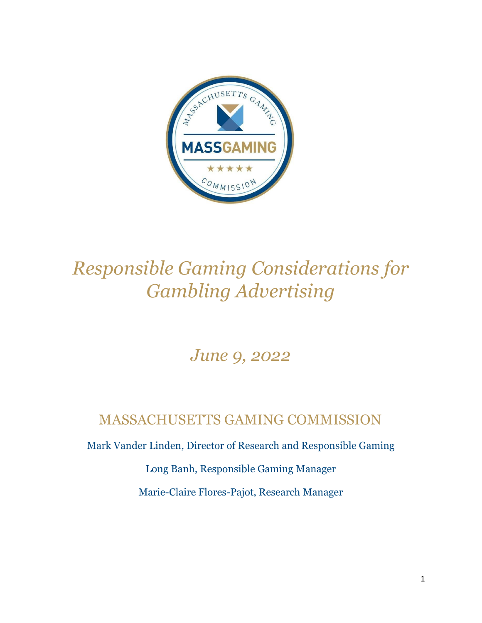

# *Responsible Gaming Considerations for Gambling Advertising*

# *June 9, 2022*

# MASSACHUSETTS GAMING COMMISSION

Mark Vander Linden, Director of Research and Responsible Gaming

Long Banh, Responsible Gaming Manager

Marie-Claire Flores-Pajot, Research Manager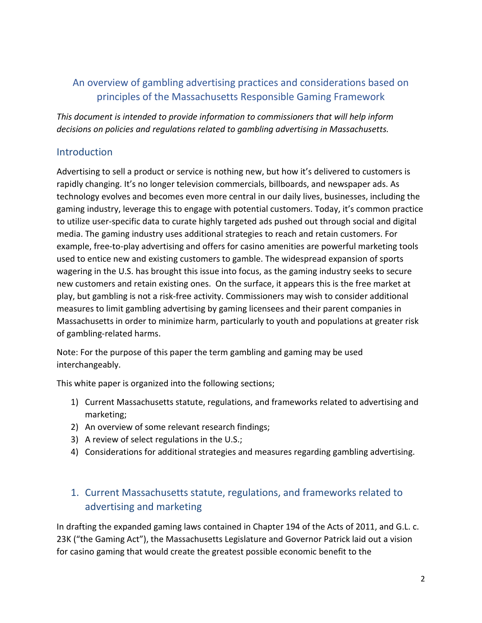## An overview of gambling advertising practices and considerations based on principles of the Massachusetts Responsible Gaming Framework

*This document is intended to provide information to commissioners that will help inform decisions on policies and regulations related to gambling advertising in Massachusetts.*

#### Introduction

Advertising to sell a product or service is nothing new, but how it's delivered to customers is rapidly changing. It's no longer television commercials, billboards, and newspaper ads. As technology evolves and becomes even more central in our daily lives, businesses, including the gaming industry, leverage this to engage with potential customers. Today, it's common practice to utilize user-specific data to curate highly targeted ads pushed out through social and digital media. The gaming industry uses additional strategies to reach and retain customers. For example, free-to-play advertising and offers for casino amenities are powerful marketing tools used to entice new and existing customers to gamble. The widespread expansion of sports wagering in the U.S. has brought this issue into focus, as the gaming industry seeks to secure new customers and retain existing ones. On the surface, it appears this is the free market at play, but gambling is not a risk-free activity. Commissioners may wish to consider additional measures to limit gambling advertising by gaming licensees and their parent companies in Massachusetts in order to minimize harm, particularly to youth and populations at greater risk of gambling-related harms.

Note: For the purpose of this paper the term gambling and gaming may be used interchangeably.

This white paper is organized into the following sections;

- 1) Current Massachusetts statute, regulations, and frameworks related to advertising and marketing;
- 2) An overview of some relevant research findings;
- 3) A review of select regulations in the U.S.;
- 4) Considerations for additional strategies and measures regarding gambling advertising.

## 1. Current Massachusetts statute, regulations, and frameworks related to advertising and marketing

In drafting the expanded gaming laws contained in Chapter 194 of the Acts of 2011, and G.L. c. 23K ("the Gaming Act"), the Massachusetts Legislature and Governor Patrick laid out a vision for casino gaming that would create the greatest possible economic benefit to the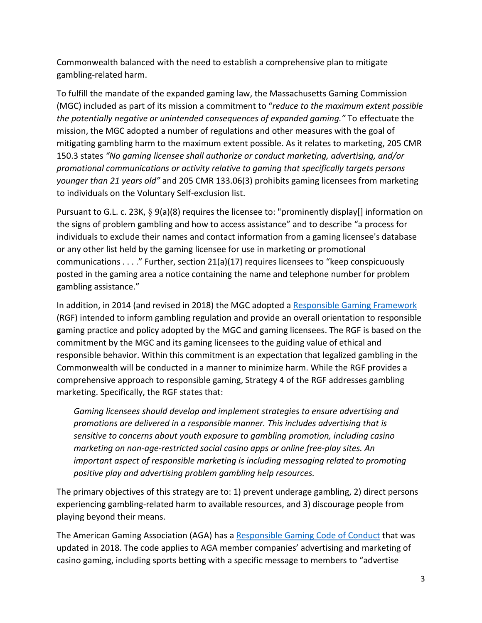Commonwealth balanced with the need to establish a comprehensive plan to mitigate gambling-related harm.

To fulfill the mandate of the expanded gaming law, the Massachusetts Gaming Commission (MGC) included as part of its mission a commitment to "*reduce to the maximum extent possible the potentially negative or unintended consequences of expanded gaming."* To effectuate the mission, the MGC adopted a number of regulations and other measures with the goal of mitigating gambling harm to the maximum extent possible. As it relates to marketing, 205 CMR 150.3 states *"No gaming licensee shall authorize or conduct marketing, advertising, and/or promotional communications or activity relative to gaming that specifically targets persons younger than 21 years old"* and 205 CMR 133.06(3) prohibits gaming licensees from marketing to individuals on the Voluntary Self-exclusion list.

Pursuant to G.L. c. 23K, § 9(a)(8) requires the licensee to: "prominently display[] information on the signs of problem gambling and how to access assistance" and to describe "a process for individuals to exclude their names and contact information from a gaming licensee's database or any other list held by the gaming licensee for use in marketing or promotional communications . . . ." Further, section 21(a)(17) requires licensees to "keep conspicuously posted in the gaming area a notice containing the name and telephone number for problem gambling assistance."

In addition, in 2014 (and revised in 2018) the MGC adopted a [Responsible Gaming Framework](https://massgaming.com/wp-content/uploads/MGC-Responsible-Gaming-Framework-2.0.pdf) (RGF) intended to inform gambling regulation and provide an overall orientation to responsible gaming practice and policy adopted by the MGC and gaming licensees. The RGF is based on the commitment by the MGC and its gaming licensees to the guiding value of ethical and responsible behavior. Within this commitment is an expectation that legalized gambling in the Commonwealth will be conducted in a manner to minimize harm. While the RGF provides a comprehensive approach to responsible gaming, Strategy 4 of the RGF addresses gambling marketing. Specifically, the RGF states that:

*Gaming licensees should develop and implement strategies to ensure advertising and promotions are delivered in a responsible manner. This includes advertising that is sensitive to concerns about youth exposure to gambling promotion, including casino marketing on non-age-restricted social casino apps or online free-play sites. An important aspect of responsible marketing is including messaging related to promoting positive play and advertising problem gambling help resources.* 

The primary objectives of this strategy are to: 1) prevent underage gambling, 2) direct persons experiencing gambling-related harm to available resources, and 3) discourage people from playing beyond their means.

The American Gaming Association (AGA) has a [Responsible Gaming Code of Conduct](https://www.americangaming.org/responsibility/member-code-of-conduct/) that was updated in 2018. The code applies to AGA member companies' advertising and marketing of casino gaming, including sports betting with a specific message to members to "advertise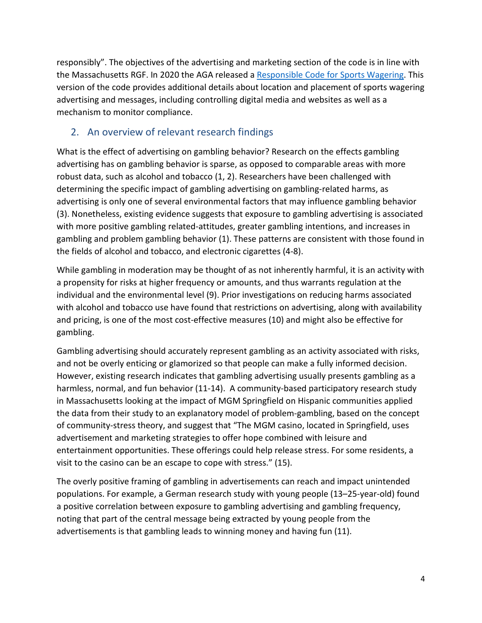responsibly". The objectives of the advertising and marketing section of the code is in line with the Massachusetts RGF. In 2020 the AGA released a [Responsible Code for Sports Wagering.](https://www.americangaming.org/responsible-marketing-code-for-sports-wagering/) This version of the code provides additional details about location and placement of sports wagering advertising and messages, including controlling digital media and websites as well as a mechanism to monitor compliance.

#### 2. An overview of relevant research findings

What is the effect of advertising on gambling behavior? Research on the effects gambling advertising has on gambling behavior is sparse, as opposed to comparable areas with more robust data, such as alcohol and tobacco (1, 2). Researchers have been challenged with determining the specific impact of gambling advertising on gambling-related harms, as advertising is only one of several environmental factors that may influence gambling behavior (3). Nonetheless, existing evidence suggests that exposure to gambling advertising is associated with more positive gambling related-attitudes, greater gambling intentions, and increases in gambling and problem gambling behavior (1). These patterns are consistent with those found in the fields of alcohol and tobacco, and electronic cigarettes (4-8).

While gambling in moderation may be thought of as not inherently harmful, it is an activity with a propensity for risks at higher frequency or amounts, and thus warrants regulation at the individual and the environmental level (9). Prior investigations on reducing harms associated with alcohol and tobacco use have found that restrictions on advertising, along with availability and pricing, is one of the most cost-effective measures (10) and might also be effective for gambling.

Gambling advertising should accurately represent gambling as an activity associated with risks, and not be overly enticing or glamorized so that people can make a fully informed decision. However, existing research indicates that gambling advertising usually presents gambling as a harmless, normal, and fun behavior (11-14). A community-based participatory research study in Massachusetts looking at the impact of MGM Springfield on Hispanic communities applied the data from their study to an explanatory model of problem-gambling, based on the concept of community-stress theory, and suggest that "The MGM casino, located in Springfield, uses advertisement and marketing strategies to offer hope combined with leisure and entertainment opportunities. These offerings could help release stress. For some residents, a visit to the casino can be an escape to cope with stress." (15).

The overly positive framing of gambling in advertisements can reach and impact unintended populations. For example, a German research study with young people (13–25-year-old) found a positive correlation between exposure to gambling advertising and gambling frequency, noting that part of the central message being extracted by young people from the advertisements is that gambling leads to winning money and having fun (11).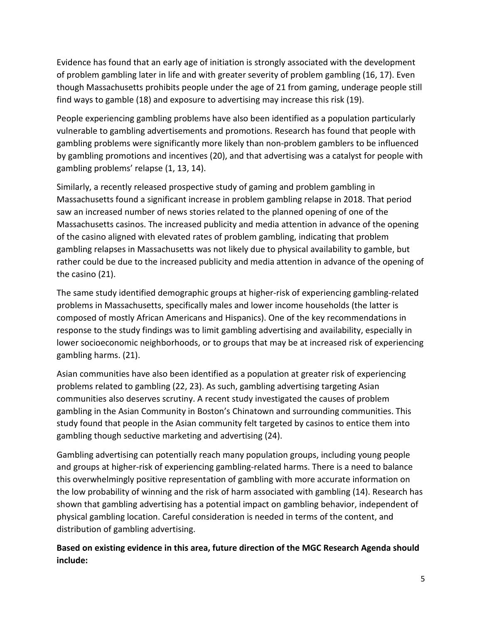Evidence has found that an early age of initiation is strongly associated with the development of problem gambling later in life and with greater severity of problem gambling (16, 17). Even though Massachusetts prohibits people under the age of 21 from gaming, underage people still find ways to gamble (18) and exposure to advertising may increase this risk (19).

People experiencing gambling problems have also been identified as a population particularly vulnerable to gambling advertisements and promotions. Research has found that people with gambling problems were significantly more likely than non-problem gamblers to be influenced by gambling promotions and incentives (20), and that advertising was a catalyst for people with gambling problems' relapse (1, 13, 14).

Similarly, a recently released prospective study of gaming and problem gambling in Massachusetts found a significant increase in problem gambling relapse in 2018. That period saw an increased number of news stories related to the planned opening of one of the Massachusetts casinos. The increased publicity and media attention in advance of the opening of the casino aligned with elevated rates of problem gambling, indicating that problem gambling relapses in Massachusetts was not likely due to physical availability to gamble, but rather could be due to the increased publicity and media attention in advance of the opening of the casino (21).

The same study identified demographic groups at higher-risk of experiencing gambling-related problems in Massachusetts, specifically males and lower income households (the latter is composed of mostly African Americans and Hispanics). One of the key recommendations in response to the study findings was to limit gambling advertising and availability, especially in lower socioeconomic neighborhoods, or to groups that may be at increased risk of experiencing gambling harms. (21).

Asian communities have also been identified as a population at greater risk of experiencing problems related to gambling (22, 23). As such, gambling advertising targeting Asian communities also deserves scrutiny. A recent study investigated the causes of problem gambling in the Asian Community in Boston's Chinatown and surrounding communities. This study found that people in the Asian community felt targeted by casinos to entice them into gambling though seductive marketing and advertising (24).

Gambling advertising can potentially reach many population groups, including young people and groups at higher-risk of experiencing gambling-related harms. There is a need to balance this overwhelmingly positive representation of gambling with more accurate information on the low probability of winning and the risk of harm associated with gambling (14). Research has shown that gambling advertising has a potential impact on gambling behavior, independent of physical gambling location. Careful consideration is needed in terms of the content, and distribution of gambling advertising.

**Based on existing evidence in this area, future direction of the MGC Research Agenda should include:**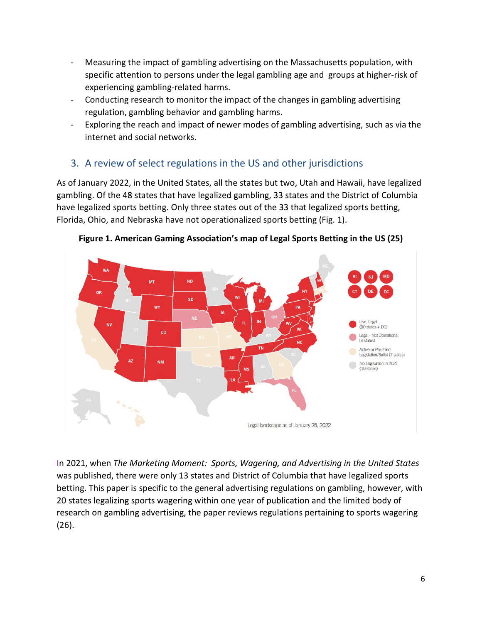- Measuring the impact of gambling advertising on the Massachusetts population, with specific attention to persons under the legal gambling age and groups at higher-risk of experiencing gambling-related harms.
- Conducting research to monitor the impact of the changes in gambling advertising regulation, gambling behavior and gambling harms.
- Exploring the reach and impact of newer modes of gambling advertising, such as via the internet and social networks.

## 3. A review of select regulations in the US and other jurisdictions

As of January 2022, in the United States, all the states but two, Utah and Hawaii, have legalized gambling. Of the 48 states that have legalized gambling, 33 states and the District of Columbia have legalized sports betting. Only three states out of the 33 that legalized sports betting, Florida, Ohio, and Nebraska have not operationalized sports betting (Fig. 1).



**Figure 1. American Gaming Association's map of Legal Sports Betting in the US (25)** 

In 2021, when *The Marketing Moment: Sports, Wagering, and Advertising in the United States*  was published, there were only 13 states and District of Columbia that have legalized sports betting. This paper is specific to the general advertising regulations on gambling, however, with 20 states legalizing sports wagering within one year of publication and the limited body of research on gambling advertising, the paper reviews regulations pertaining to sports wagering (26).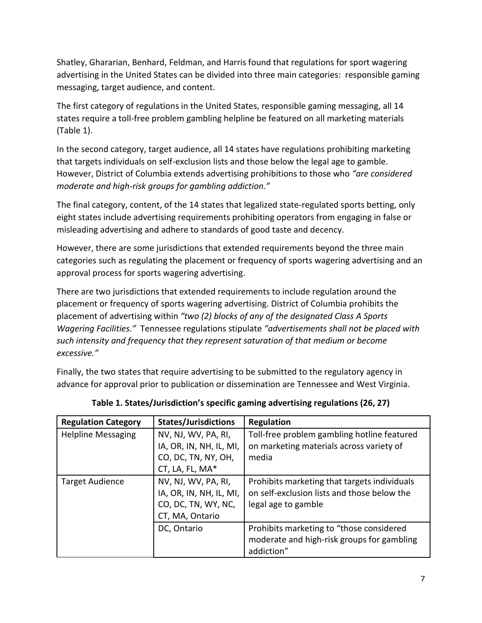Shatley, Ghararian, Benhard, Feldman, and Harris found that regulations for sport wagering advertising in the United States can be divided into three main categories: responsible gaming messaging, target audience, and content.

The first category of regulations in the United States, responsible gaming messaging, all 14 states require a toll-free problem gambling helpline be featured on all marketing materials (Table 1).

In the second category, target audience, all 14 states have regulations prohibiting marketing that targets individuals on self-exclusion lists and those below the legal age to gamble. However, District of Columbia extends advertising prohibitions to those who *"are considered moderate and high-risk groups for gambling addiction."*

The final category, content, of the 14 states that legalized state-regulated sports betting, only eight states include advertising requirements prohibiting operators from engaging in false or misleading advertising and adhere to standards of good taste and decency.

However, there are some jurisdictions that extended requirements beyond the three main categories such as regulating the placement or frequency of sports wagering advertising and an approval process for sports wagering advertising.

There are two jurisdictions that extended requirements to include regulation around the placement or frequency of sports wagering advertising. District of Columbia prohibits the placement of advertising within *"two (2) blocks of any of the designated Class A Sports Wagering Facilities."* Tennessee regulations stipulate *"advertisements shall not be placed with such intensity and frequency that they represent saturation of that medium or become excessive."*

Finally, the two states that require advertising to be submitted to the regulatory agency in advance for approval prior to publication or dissemination are Tennessee and West Virginia.

| <b>Regulation Category</b> | <b>States/Jurisdictions</b> | <b>Regulation</b>                            |
|----------------------------|-----------------------------|----------------------------------------------|
| <b>Helpline Messaging</b>  | NV, NJ, WV, PA, RI,         | Toll-free problem gambling hotline featured  |
|                            | IA, OR, IN, NH, IL, MI,     | on marketing materials across variety of     |
|                            | CO, DC, TN, NY, OH,         | media                                        |
|                            | CT, LA, FL, MA*             |                                              |
| <b>Target Audience</b>     | NV, NJ, WV, PA, RI,         | Prohibits marketing that targets individuals |
|                            | IA, OR, IN, NH, IL, MI,     | on self-exclusion lists and those below the  |
|                            | CO, DC, TN, WY, NC,         | legal age to gamble                          |
|                            | CT, MA, Ontario             |                                              |
|                            | DC, Ontario                 | Prohibits marketing to "those considered     |
|                            |                             | moderate and high-risk groups for gambling   |
|                            |                             | addiction"                                   |

**Table 1. States/Jurisdiction's specific gaming advertising regulations (26, 27)**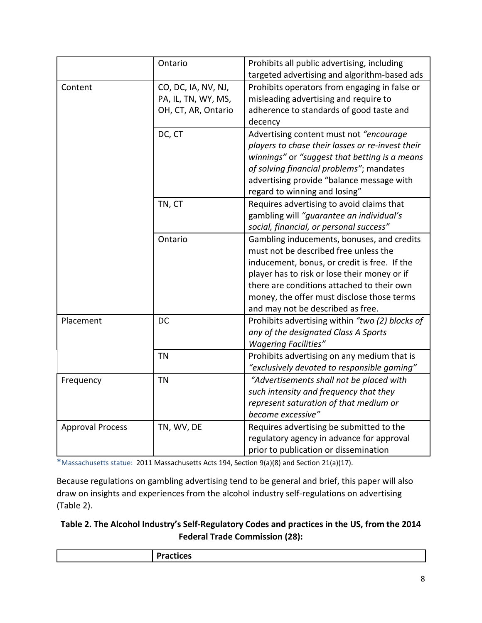|                         | Ontario                                                           | Prohibits all public advertising, including<br>targeted advertising and algorithm-based ads                                                                                                                                                                                                                          |
|-------------------------|-------------------------------------------------------------------|----------------------------------------------------------------------------------------------------------------------------------------------------------------------------------------------------------------------------------------------------------------------------------------------------------------------|
| Content                 | CO, DC, IA, NV, NJ,<br>PA, IL, TN, WY, MS,<br>OH, CT, AR, Ontario | Prohibits operators from engaging in false or<br>misleading advertising and require to<br>adherence to standards of good taste and<br>decency                                                                                                                                                                        |
|                         | DC, CT                                                            | Advertising content must not "encourage"<br>players to chase their losses or re-invest their<br>winnings" or "suggest that betting is a means<br>of solving financial problems"; mandates<br>advertising provide "balance message with<br>regard to winning and losing"                                              |
|                         | TN, CT                                                            | Requires advertising to avoid claims that<br>gambling will "guarantee an individual's<br>social, financial, or personal success"                                                                                                                                                                                     |
|                         | Ontario                                                           | Gambling inducements, bonuses, and credits<br>must not be described free unless the<br>inducement, bonus, or credit is free. If the<br>player has to risk or lose their money or if<br>there are conditions attached to their own<br>money, the offer must disclose those terms<br>and may not be described as free. |
| Placement               | DC                                                                | Prohibits advertising within "two (2) blocks of<br>any of the designated Class A Sports<br><b>Wagering Facilities"</b>                                                                                                                                                                                               |
|                         | <b>TN</b>                                                         | Prohibits advertising on any medium that is<br>"exclusively devoted to responsible gaming"                                                                                                                                                                                                                           |
| Frequency               | <b>TN</b>                                                         | "Advertisements shall not be placed with<br>such intensity and frequency that they<br>represent saturation of that medium or<br>become excessive"                                                                                                                                                                    |
| <b>Approval Process</b> | TN, WV, DE                                                        | Requires advertising be submitted to the<br>regulatory agency in advance for approval<br>prior to publication or dissemination                                                                                                                                                                                       |

\*Massachusetts statue: 2011 Massachusetts Acts 194, Section 9(a)(8) and Section 21(a)(17).

Because regulations on gambling advertising tend to be general and brief, this paper will also draw on insights and experiences from the alcohol industry self-regulations on advertising (Table 2).

#### **Table 2. The Alcohol Industry's Self-Regulatory Codes and practices in the US, from the 2014 Federal Trade Commission (28):**

| . . |
|-----|
|     |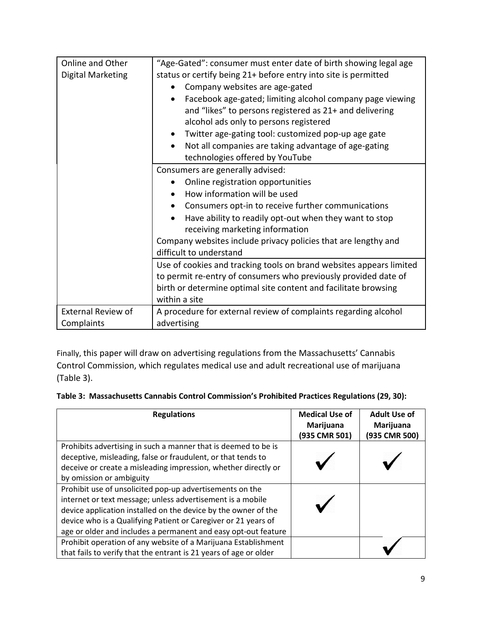| Online and Other          |                                                                                                              |  |  |
|---------------------------|--------------------------------------------------------------------------------------------------------------|--|--|
|                           | "Age-Gated": consumer must enter date of birth showing legal age                                             |  |  |
| <b>Digital Marketing</b>  | status or certify being 21+ before entry into site is permitted                                              |  |  |
|                           | Company websites are age-gated<br>$\bullet$                                                                  |  |  |
|                           | Facebook age-gated; limiting alcohol company page viewing                                                    |  |  |
|                           | and "likes" to persons registered as 21+ and delivering                                                      |  |  |
|                           | alcohol ads only to persons registered                                                                       |  |  |
|                           | Twitter age-gating tool: customized pop-up age gate                                                          |  |  |
|                           | Not all companies are taking advantage of age-gating<br>$\bullet$                                            |  |  |
|                           | technologies offered by YouTube                                                                              |  |  |
|                           | Consumers are generally advised:                                                                             |  |  |
|                           | Online registration opportunities                                                                            |  |  |
|                           | How information will be used<br>$\bullet$                                                                    |  |  |
|                           | Consumers opt-in to receive further communications<br>Have ability to readily opt-out when they want to stop |  |  |
|                           |                                                                                                              |  |  |
|                           | receiving marketing information                                                                              |  |  |
|                           | Company websites include privacy policies that are lengthy and                                               |  |  |
|                           | difficult to understand                                                                                      |  |  |
|                           | Use of cookies and tracking tools on brand websites appears limited                                          |  |  |
|                           | to permit re-entry of consumers who previously provided date of                                              |  |  |
|                           | birth or determine optimal site content and facilitate browsing                                              |  |  |
|                           | within a site                                                                                                |  |  |
| <b>External Review of</b> | A procedure for external review of complaints regarding alcohol                                              |  |  |
| Complaints                | advertising                                                                                                  |  |  |

Finally, this paper will draw on advertising regulations from the Massachusetts' Cannabis Control Commission, which regulates medical use and adult recreational use of marijuana (Table 3).

| Table 3: Massachusetts Cannabis Control Commission's Prohibited Practices Regulations (29, 30): |  |  |  |
|-------------------------------------------------------------------------------------------------|--|--|--|
|                                                                                                 |  |  |  |

| <b>Regulations</b>                                                                                                                                                                                                                                                                                                           | <b>Medical Use of</b><br>Marijuana<br>(935 CMR 501) | <b>Adult Use of</b><br>Marijuana<br>(935 CMR 500) |
|------------------------------------------------------------------------------------------------------------------------------------------------------------------------------------------------------------------------------------------------------------------------------------------------------------------------------|-----------------------------------------------------|---------------------------------------------------|
| Prohibits advertising in such a manner that is deemed to be is<br>deceptive, misleading, false or fraudulent, or that tends to<br>deceive or create a misleading impression, whether directly or<br>by omission or ambiguity                                                                                                 |                                                     |                                                   |
| Prohibit use of unsolicited pop-up advertisements on the<br>internet or text message; unless advertisement is a mobile<br>device application installed on the device by the owner of the<br>device who is a Qualifying Patient or Caregiver or 21 years of<br>age or older and includes a permanent and easy opt-out feature |                                                     |                                                   |
| Prohibit operation of any website of a Marijuana Establishment<br>that fails to verify that the entrant is 21 years of age or older                                                                                                                                                                                          |                                                     |                                                   |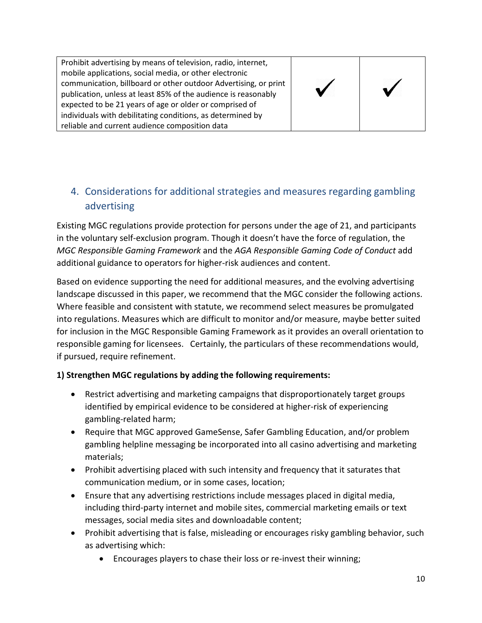Prohibit advertising by means of television, radio, internet, mobile applications, social media, or other electronic communication, billboard or other outdoor Advertising, or print publication, unless at least 85% of the audience is reasonably expected to be 21 years of age or older or comprised of individuals with debilitating conditions, as determined by reliable and current audience composition data





# 4. Considerations for additional strategies and measures regarding gambling advertising

Existing MGC regulations provide protection for persons under the age of 21, and participants in the voluntary self-exclusion program. Though it doesn't have the force of regulation, the *MGC Responsible Gaming Framework* and the *AGA Responsible Gaming Code of Conduct* add additional guidance to operators for higher-risk audiences and content.

Based on evidence supporting the need for additional measures, and the evolving advertising landscape discussed in this paper, we recommend that the MGC consider the following actions. Where feasible and consistent with statute, we recommend select measures be promulgated into regulations. Measures which are difficult to monitor and/or measure, maybe better suited for inclusion in the MGC Responsible Gaming Framework as it provides an overall orientation to responsible gaming for licensees. Certainly, the particulars of these recommendations would, if pursued, require refinement.

#### **1) Strengthen MGC regulations by adding the following requirements:**

- Restrict advertising and marketing campaigns that disproportionately target groups identified by empirical evidence to be considered at higher-risk of experiencing gambling-related harm;
- Require that MGC approved GameSense, Safer Gambling Education, and/or problem gambling helpline messaging be incorporated into all casino advertising and marketing materials;
- Prohibit advertising placed with such intensity and frequency that it saturates that communication medium, or in some cases, location;
- Ensure that any advertising restrictions include messages placed in digital media, including third-party internet and mobile sites, commercial marketing emails or text messages, social media sites and downloadable content;
- Prohibit advertising that is false, misleading or encourages risky gambling behavior, such as advertising which:
	- Encourages players to chase their loss or re-invest their winning;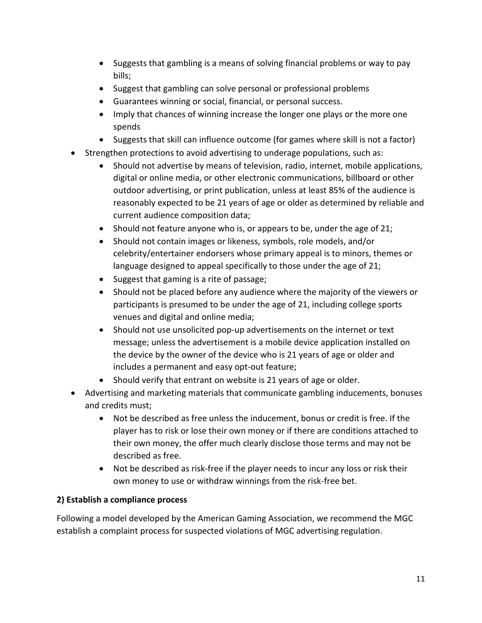- Suggests that gambling is a means of solving financial problems or way to pay bills;
- Suggest that gambling can solve personal or professional problems
- Guarantees winning or social, financial, or personal success.
- Imply that chances of winning increase the longer one plays or the more one spends
- Suggests that skill can influence outcome (for games where skill is not a factor)
- Strengthen protections to avoid advertising to underage populations, such as:
	- Should not advertise by means of television, radio, internet, mobile applications, digital or online media, or other electronic communications, billboard or other outdoor advertising, or print publication, unless at least 85% of the audience is reasonably expected to be 21 years of age or older as determined by reliable and current audience composition data;
	- Should not feature anyone who is, or appears to be, under the age of 21;
	- Should not contain images or likeness, symbols, role models, and/or celebrity/entertainer endorsers whose primary appeal is to minors, themes or language designed to appeal specifically to those under the age of 21;
	- Suggest that gaming is a rite of passage;
	- Should not be placed before any audience where the majority of the viewers or participants is presumed to be under the age of 21, including college sports venues and digital and online media;
	- Should not use unsolicited pop-up advertisements on the internet or text message; unless the advertisement is a mobile device application installed on the device by the owner of the device who is 21 years of age or older and includes a permanent and easy opt-out feature;
	- Should verify that entrant on website is 21 years of age or older.
- Advertising and marketing materials that communicate gambling inducements, bonuses and credits must;
	- Not be described as free unless the inducement, bonus or credit is free. If the player has to risk or lose their own money or if there are conditions attached to their own money, the offer much clearly disclose those terms and may not be described as free.
	- Not be described as risk-free if the player needs to incur any loss or risk their own money to use or withdraw winnings from the risk-free bet.

#### **2) Establish a compliance process**

Following a model developed by the American Gaming Association, we recommend the MGC establish a complaint process for suspected violations of MGC advertising regulation.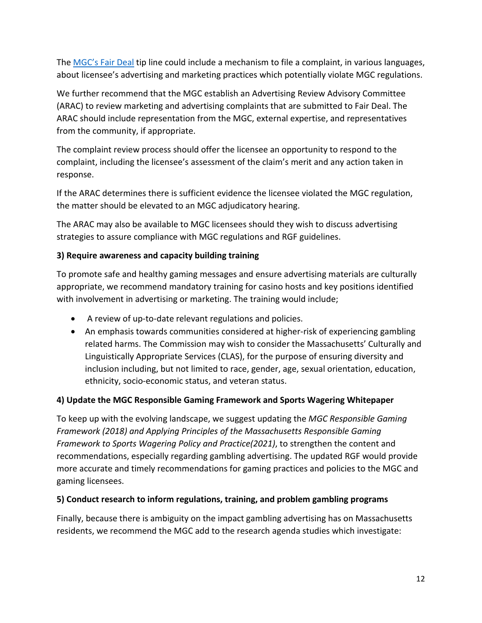The [MGC's Fair Deal](https://massgaming.com/regulations/fairdeal/) tip line could include a mechanism to file a complaint, in various languages, about licensee's advertising and marketing practices which potentially violate MGC regulations.

We further recommend that the MGC establish an Advertising Review Advisory Committee (ARAC) to review marketing and advertising complaints that are submitted to Fair Deal. The ARAC should include representation from the MGC, external expertise, and representatives from the community, if appropriate.

The complaint review process should offer the licensee an opportunity to respond to the complaint, including the licensee's assessment of the claim's merit and any action taken in response.

If the ARAC determines there is sufficient evidence the licensee violated the MGC regulation, the matter should be elevated to an MGC adjudicatory hearing.

The ARAC may also be available to MGC licensees should they wish to discuss advertising strategies to assure compliance with MGC regulations and RGF guidelines.

#### **3) Require awareness and capacity building training**

To promote safe and healthy gaming messages and ensure advertising materials are culturally appropriate, we recommend mandatory training for casino hosts and key positions identified with involvement in advertising or marketing. The training would include;

- A review of up-to-date relevant regulations and policies.
- An emphasis towards communities considered at higher-risk of experiencing gambling related harms. The Commission may wish to consider the Massachusetts' Culturally and Linguistically Appropriate Services (CLAS), for the purpose of ensuring diversity and inclusion including, but not limited to race, gender, age, sexual orientation, education, ethnicity, socio-economic status, and veteran status.

#### **4) Update the MGC Responsible Gaming Framework and Sports Wagering Whitepaper**

To keep up with the evolving landscape, we suggest updating the *MGC Responsible Gaming Framework (2018) and Applying Principles of the Massachusetts Responsible Gaming Framework to Sports Wagering Policy and Practice(2021)*, to strengthen the content and recommendations, especially regarding gambling advertising. The updated RGF would provide more accurate and timely recommendations for gaming practices and policies to the MGC and gaming licensees.

#### **5) Conduct research to inform regulations, training, and problem gambling programs**

Finally, because there is ambiguity on the impact gambling advertising has on Massachusetts residents, we recommend the MGC add to the research agenda studies which investigate: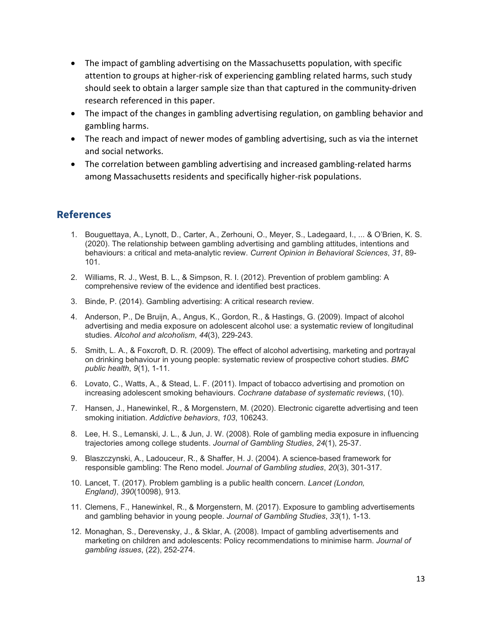- The impact of gambling advertising on the Massachusetts population, with specific attention to groups at higher-risk of experiencing gambling related harms, such study should seek to obtain a larger sample size than that captured in the community-driven research referenced in this paper.
- The impact of the changes in gambling advertising regulation, on gambling behavior and gambling harms.
- The reach and impact of newer modes of gambling advertising, such as via the internet and social networks.
- The correlation between gambling advertising and increased gambling-related harms among Massachusetts residents and specifically higher-risk populations.

#### **References**

- 1. Bouguettaya, A., Lynott, D., Carter, A., Zerhouni, O., Meyer, S., Ladegaard, I., ... & O'Brien, K. S. (2020). The relationship between gambling advertising and gambling attitudes, intentions and behaviours: a critical and meta-analytic review. *Current Opinion in Behavioral Sciences*, *31*, 89- 101.
- 2. Williams, R. J., West, B. L., & Simpson, R. I. (2012). Prevention of problem gambling: A comprehensive review of the evidence and identified best practices.
- 3. Binde, P. (2014). Gambling advertising: A critical research review.
- 4. Anderson, P., De Bruijn, A., Angus, K., Gordon, R., & Hastings, G. (2009). Impact of alcohol advertising and media exposure on adolescent alcohol use: a systematic review of longitudinal studies. *Alcohol and alcoholism*, *44*(3), 229-243.
- 5. Smith, L. A., & Foxcroft, D. R. (2009). The effect of alcohol advertising, marketing and portrayal on drinking behaviour in young people: systematic review of prospective cohort studies. *BMC public health*, *9*(1), 1-11.
- 6. Lovato, C., Watts, A., & Stead, L. F. (2011). Impact of tobacco advertising and promotion on increasing adolescent smoking behaviours. *Cochrane database of systematic reviews*, (10).
- 7. Hansen, J., Hanewinkel, R., & Morgenstern, M. (2020). Electronic cigarette advertising and teen smoking initiation. *Addictive behaviors*, *103*, 106243.
- 8. Lee, H. S., Lemanski, J. L., & Jun, J. W. (2008). Role of gambling media exposure in influencing trajectories among college students. *Journal of Gambling Studies*, *24*(1), 25-37.
- 9. Blaszczynski, A., Ladouceur, R., & Shaffer, H. J. (2004). A science-based framework for responsible gambling: The Reno model. *Journal of Gambling studies*, *20*(3), 301-317.
- 10. Lancet, T. (2017). Problem gambling is a public health concern. *Lancet (London, England)*, *390*(10098), 913.
- 11. Clemens, F., Hanewinkel, R., & Morgenstern, M. (2017). Exposure to gambling advertisements and gambling behavior in young people. *Journal of Gambling Studies*, *33*(1), 1-13.
- 12. Monaghan, S., Derevensky, J., & Sklar, A. (2008). Impact of gambling advertisements and marketing on children and adolescents: Policy recommendations to minimise harm. *Journal of gambling issues*, (22), 252-274.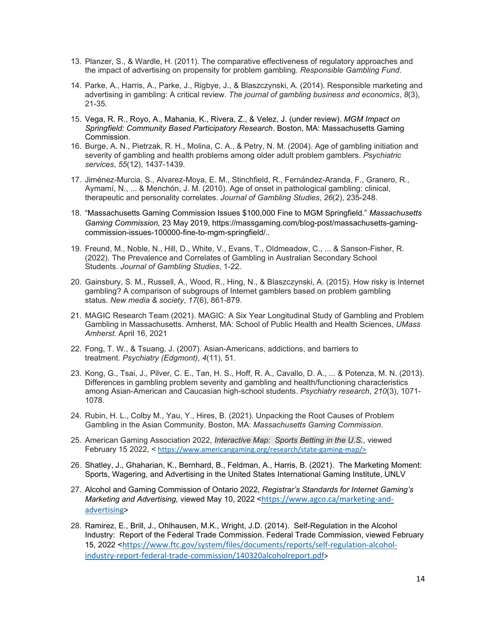- 13. Planzer, S., & Wardle, H. (2011). The comparative effectiveness of regulatory approaches and the impact of advertising on propensity for problem gambling. *Responsible Gambling Fund*.
- 14. Parke, A., Harris, A., Parke, J., Rigbye, J., & Blaszczynski, A. (2014). Responsible marketing and advertising in gambling: A critical review. *The journal of gambling business and economics*, *8*(3), 21-35.
- 15. Vega, R. R., Royo, A., Mahania, K., Rivera, Z., & Velez, J. (under review). *MGM Impact on Springfield: Community Based Participatory Research*. Boston, MA: Massachusetts Gaming Commission.
- 16. Burge, A. N., Pietrzak, R. H., Molina, C. A., & Petry, N. M. (2004). Age of gambling initiation and severity of gambling and health problems among older adult problem gamblers. *Psychiatric services*, *55*(12), 1437-1439.
- 17. Jiménez-Murcia, S., Alvarez-Moya, E. M., Stinchfield, R., Fernández-Aranda, F., Granero, R., Aymamí, N., ... & Menchón, J. M. (2010). Age of onset in pathological gambling: clinical, therapeutic and personality correlates. *Journal of Gambling Studies*, *26*(2), 235-248.
- 18. "Massachusetts Gaming Commission Issues \$100,000 Fine to MGM Springfield." *Massachusetts Gaming Commission,* 23 May 2019, https://massgaming.com/blog-post/massachusetts-gamingcommission-issues-100000-fine-to-mgm-springfield/..
- 19. Freund, M., Noble, N., Hill, D., White, V., Evans, T., Oldmeadow, C., ... & Sanson-Fisher, R. (2022). The Prevalence and Correlates of Gambling in Australian Secondary School Students. *Journal of Gambling Studies*, 1-22.
- 20. Gainsbury, S. M., Russell, A., Wood, R., Hing, N., & Blaszczynski, A. (2015). How risky is Internet gambling? A comparison of subgroups of Internet gamblers based on problem gambling status. *New media & society*, *17*(6), 861-879.
- 21. MAGIC Research Team (2021). MAGIC: A Six Year Longitudinal Study of Gambling and Problem Gambling in Massachusetts. Amherst, MA: School of Public Health and Health Sciences, *UMass Amherst.* April 16, 2021
- 22. Fong, T. W., & Tsuang, J. (2007). Asian-Americans, addictions, and barriers to treatment. *Psychiatry (Edgmont)*, *4*(11), 51.
- 23. Kong, G., Tsai, J., Pilver, C. E., Tan, H. S., Hoff, R. A., Cavallo, D. A., ... & Potenza, M. N. (2013). Differences in gambling problem severity and gambling and health/functioning characteristics among Asian-American and Caucasian high-school students. *Psychiatry research*, *210*(3), 1071- 1078.
- 24. Rubin, H. L., Colby M., Yau, Y., Hires, B. (2021). Unpacking the Root Causes of Problem Gambling in the Asian Community. Boston, MA: *Massachusetts Gaming Commission*.
- 25. American Gaming Association 2022, *Interactive Map: Sports Betting in the U.S.*, viewed February 15 2022, < [https://www.americangaming.](https://www.americangaming/)org/research/state-gaming-map/>
- 26. Shatley, J., Ghaharian, K., Bernhard, B., Feldman, A., Harris, B. (2021). The Marketing Moment: Sports, Wagering, and Advertising in the United States International Gaming Institute, UNLV
- 27. Alcohol and Gaming Commission of Ontario 2022, *Registrar's Standards for Internet Gaming's Marketing and Advertising,* viewed May 10, 2022 <[https://www.agco.ca/marketing-and](https://gcc02.safelinks.protection.outlook.com/?url=https%3A%2F%2Fwww.agco.ca%2Fmarketing-and-advertising&data=05%7C01%7Clong.banh%40massgaming.gov%7Cafd274b0ea1f45f1799808da2eb5812d%7C94609aaa63354582ad57859e4b0d6ecb%7C0%7C0%7C637873654365294616%7CUnknown%7CTWFpbGZsb3d8eyJWIjoiMC4wLjAwMDAiLCJQIjoiV2luMzIiLCJBTiI6Ik1haWwiLCJXVCI6Mn0%3D%7C3000%7C%7C%7C&sdata=6e6CVjlET1mQNATwYYscnmfEOUzx3cI4HlbSScbKM6w%3D&reserved=0)[advertising>](https://gcc02.safelinks.protection.outlook.com/?url=https%3A%2F%2Fwww.agco.ca%2Fmarketing-and-advertising&data=05%7C01%7Clong.banh%40massgaming.gov%7Cafd274b0ea1f45f1799808da2eb5812d%7C94609aaa63354582ad57859e4b0d6ecb%7C0%7C0%7C637873654365294616%7CUnknown%7CTWFpbGZsb3d8eyJWIjoiMC4wLjAwMDAiLCJQIjoiV2luMzIiLCJBTiI6Ik1haWwiLCJXVCI6Mn0%3D%7C3000%7C%7C%7C&sdata=6e6CVjlET1mQNATwYYscnmfEOUzx3cI4HlbSScbKM6w%3D&reserved=0)
- 28. Ramirez, E., Brill, J., Ohlhausen, M.K., Wright, J.D. (2014). Self-Regulation in the Alcohol Industry: Report of the Federal Trade Commission. Federal Trade Commission, viewed February 15, 2022 <[https://www.ftc.gov/system/files/documents/reports/self-regulation-alcohol](https://www.ftc.gov/system/files/documents/reports/self-regulation-alcohol-industry-report-federal-trade-commission/140320alcoholreport.pdf)[industry-report-federal-trade-commission/140320alcoholreport.pdf>](https://www.ftc.gov/system/files/documents/reports/self-regulation-alcohol-industry-report-federal-trade-commission/140320alcoholreport.pdf)